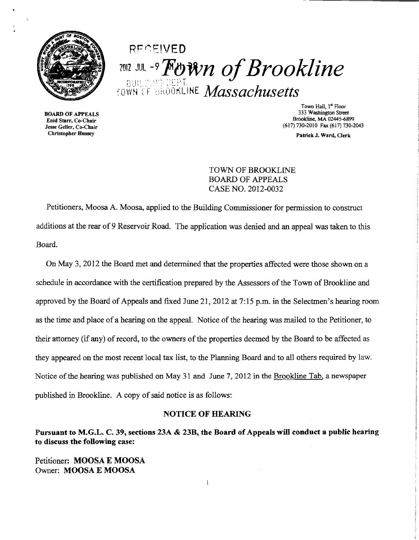

# **RECEIVED 1012 JUL-9 Fown of Brookline** rovm CF [:,r~.ClOhLiHE *Massachusetts*

BOARD OF APPEALS Enid Starr, Co-Chair Jesse Geller, Co-Chair Christopher Hussey

Town Hall, 1st Floor 333 Washington Street Brookline, MA 02445-6899 (617) 730-2010 Fax (617) 730-2043

Patrick J. Ward, Clerk

TOWN OF BROOKLINE BOARD OF APPEALS CASE NO. 2012-0032

Petitioners, Moosa A. Moosa, applied to the Building Commissioner for permission to construct additions at the rear of 9 Reservoir Road. The application was denied and an appeal was taken to this Board.

On May 3, 2012 the Board met and determined that the properties affected were those shown on a schedule in accordance with the certification prepared by the Assessors of the Town of Brookline and approved by the Board of Appeals and fIxed June 21,2012 at 7:15 p.m. in the Selectmen's hearing room as the time and place of a hearing on the appeal. Notice of the hearing was mailed to the Petitioner, to their attorney (if any) of record, to the owners of the properties deemed by the Board to be affected as they appeared on the most recent local tax list, to the Planning Board and to all others required by law. Notice of the hearing was published on May 31 and June 7, 2012 in the Brookline Tab, a newspaper published in Brookline. A copy of said notice is as follows:

### NOTICE OF HEARING

Pursuant to M.G.L. C. 39, sections 23A & 23B, the Board of Appeals will conduct a public hearing to discuss the following case: .

 $\mathbf{1}$ 

Petitioner: MOOSA E MOOSA Owner: MOOSA E MOOSA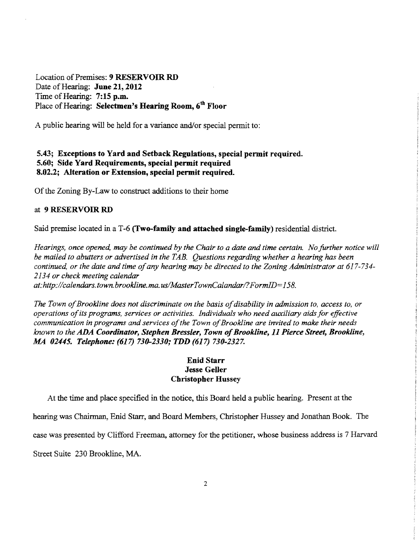Location of Premises: 9 RESERVOIR RD Date of Hearing: June 21, 2012 Time of Hearing: 7:15 p.m. Place of Hearing: Selectmen's Hearing Room, 6<sup>th</sup> Floor

A public hearing will be held for a variance and/or special permit to:

## 5.43; Exceptions to Yard and Setback Regulations, special permit required. 5.60; Side Yard Requirements, special permit required 8.02.2; Alteration or Extension, special permit required.

Of the Zoning By-Law to construct additions to their home

#### at 9 RESERVOIR RD

Said premise located in a T-6 (Two-family and attached single-family) residential district.

*Hearings, once opened, may be continued by the Chair to a date and time certain. No further notice will be mailed to abutters or advertised in the TAB. Questions regarding whether a hearing has been continued, or the date and time of any hearing may be directed to the Zoning Administrator at 617-734-2134 or check meeting calendar at:http://calendars.town.brookline.ma.usIMasterTownCalandarl?FormID=158.* 

The Town of Brookline does not discriminate on the basis of disability in admission to, access to, or *operations ofits programs, services or activities. Individuals who need auxiliary aids for effective*  communication in programs and services of the Town of Brookline are invited to make their needs *known to the* ADA *Coordinator, Stephen Bressler, Town ofBrookline,* 11 *Pierce Street, Brookline,*  .M4 *02445. Telephone:* (617) *730-2330; TDD* (617) *730-2327.* 

# Enid Starr Jesse Geller Christopher Hussey

At the time and place specified in the notice, this Board held a public hearing. Present at the

hearing was Chairman, Enid Starr, and Board Members, Christopher Hussey and Jonathan Book. The

case was presented by Clifford Freeman, attorney for the petitioner, whose business address is 7 Harvard

Street Suite 230 Brookline, MA.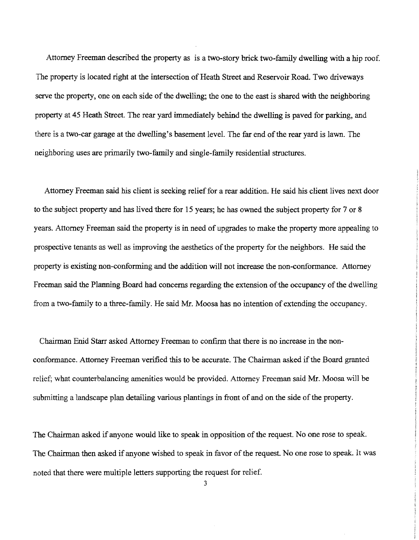Attorney Freeman described the property as is a two-story brick two-family dwelling with a hip roof. The property is located right at the intersection of Heath Street and Reservoir Road. Two driveways serve the property, one on each side of the dwelling; the one to the east is shared with the neighboring property at 45 Heath Street. The rear yard immediately behind the dwelling is paved for parking, and there is a two-car garage at the dwelling's basement level. The far end of the rear yard is lawn. The neighboring uses are primarily two-family and single-family residential structures.

Attorney Freeman said his client is seeking relieffor a rear addition. He said his client lives next door to the subject property and has lived there for 15 years; he has owned the subject property for 7 or 8 years. Attorney Freeman said the property is in need of upgrades to make the property more appealing to prospective tenants as well as improving the aesthetics of the property for the neighbors. He said the property is existing non-conforming and the addition will not increase the non-conformance. Attorney Freeman said the Planning Board had concerns regarding the extension of the occupancy of the dwelling from a two-family to athree-family. He said Mr. Moosa has no intention of extending the occupancy.

Chairman Enid Starr asked Attorney Freeman to confirm that there is no increase in the nonconformance. Attorney Freeman verified this to be accurate. The Chairman asked if the Board granted relief; what counterbalancing amenities would be provided. Attorney Freeman said Mr. Moosa will be submitting a landscape plan detailing various plantings in front of and on the side of the property.

The Chairman asked if anyone would like to speak in opposition of the request. No one rose to speak. The Chairman then asked if anyone wished to speak in favor of the request. No one rose to speak. It was noted that there were multiple letters supporting the request for relief.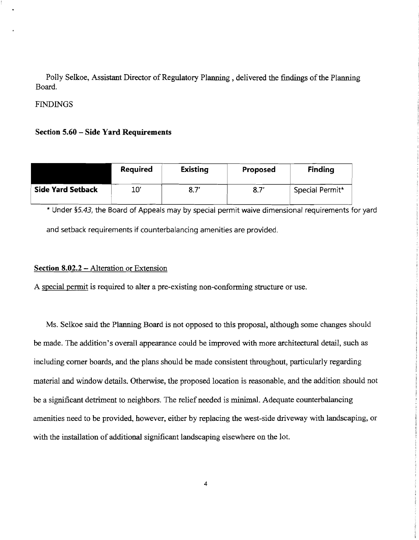Polly Selkoe, Assistant Director of Regulatory Planning, delivered the findings of the Planning Board.

## **FINDINGS**

## **Section 5.60 - Side Yard Requirements**

|                          | <b>Required</b> | <b>Existing</b> | Proposed | <b>Finding</b>  |
|--------------------------|-----------------|-----------------|----------|-----------------|
| <b>Side Yard Setback</b> | 10′             | $8.7^\prime$    | 8.7'     | Special Permit* |

\* Under §5.43, the Board of Appeals may by special permit waive dimensional requirements for yard and setback requirements if counterbalancing amenities are provided.

### **Section 8.02.2** - Alteration or Extension

A special permit is required to alter a pre-existing non-conforming structure or use.

Ms. Selkoe said the Planning Board is not opposed to this proposal, although some changes should be made. The addition's overall appearance could be improved with more architectural detail, such as including comer boards, and the plans should be made consistent throughout, particularly regarding material and window details. Otherwise, the proposed location is reasonable, and the addition should not be a significant detriment to neighbors. The relief needed is minimal. Adequate counterbalancing amenities need to be provided, however, either by replacing the west-side driveway with landscaping, or with the installation of additional significant landscaping elsewhere on the lot.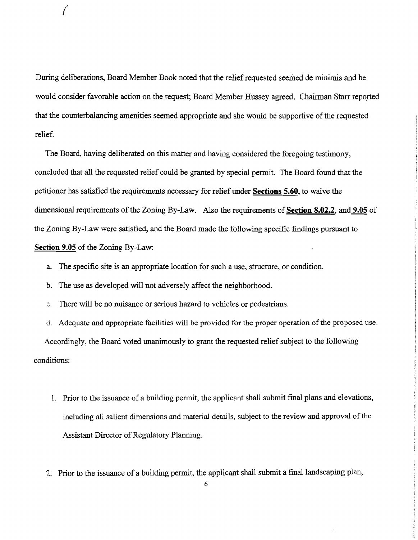During deliberations, Board Member Book noted that the relief requested seemed de minimis and he would consider favorable action on the request; Board Member Hussey agreed. Chairman Starr reported that the counterbalancing amenities seemed appropriate and she would be supportive of the requested relief.

The Board, having deliberated on this matter and having considered the foregoing testimony, concluded that all the requested relief could be granted by special permit. The Board found that the petitioner has satisfied the requirements necessary for relief under **Sections 5.60,** to waive the dimensional requirements of the Zoning By-Law. Also the requirements of Section 8.02.2, and 9.05 of the Zoning By-Law were satisfied, and the Board made the following specific findings pursuant to **Section 9.05** of the Zoning By-Law:

- a. The specific site is an appropriate location for such a use, structure, or condition.
- b. The use as developed will not adversely affect the neighborhood.

 $\bigg($ 

c. There will be no nuisance or serious hazard to vehicles or pedestrians.

d. Adequate and appropriate facilities will be provided for the proper operation of the proposed use. Accordingly, the Board voted unanimously to grant the requested relief subject to the following conditions:

- 1. Prior to the issuance of a building permit, the applicant shall submit final plans and elevations, including all salient dimensions and material details, subject to the review and approval of the Assistant Director of Regulatory Planning.
- 2. Prior to the issuance of a building permit, the applicant shall submit a final landscaping plan,

6